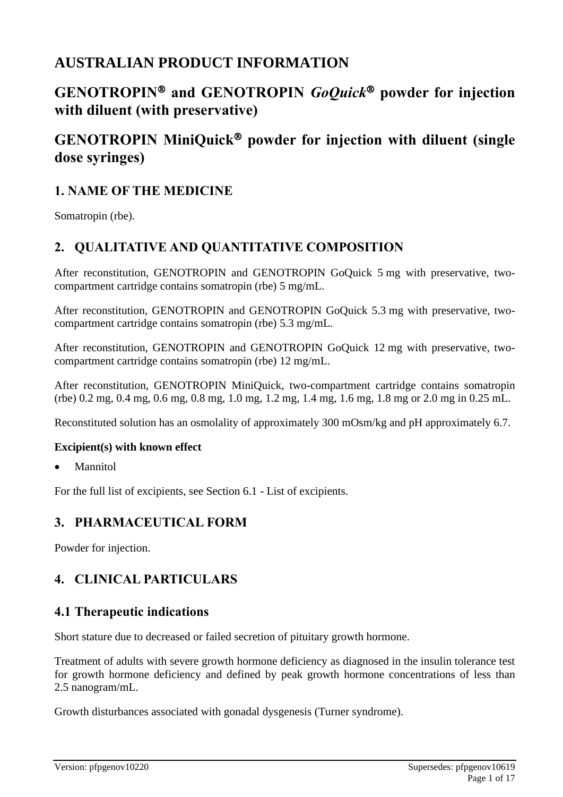# **AUSTRALIAN PRODUCT INFORMATION**

# **GENOTROPIN and GENOTROPIN** *GoQuick* **powder for injection with diluent (with preservative)**

# **GENOTROPIN MiniQuick powder for injection with diluent (single dose syringes)**

# **1. NAME OF THE MEDICINE**

Somatropin (rbe).

# **2. QUALITATIVE AND QUANTITATIVE COMPOSITION**

After reconstitution, GENOTROPIN and GENOTROPIN GoQuick 5 mg with preservative, twocompartment cartridge contains somatropin (rbe) 5 mg/mL.

After reconstitution, GENOTROPIN and GENOTROPIN GoQuick 5.3 mg with preservative, twocompartment cartridge contains somatropin (rbe) 5.3 mg/mL.

After reconstitution, GENOTROPIN and GENOTROPIN GoQuick 12 mg with preservative, twocompartment cartridge contains somatropin (rbe) 12 mg/mL.

After reconstitution, GENOTROPIN MiniQuick, two-compartment cartridge contains somatropin (rbe) 0.2 mg, 0.4 mg, 0.6 mg, 0.8 mg, 1.0 mg, 1.2 mg, 1.4 mg, 1.6 mg, 1.8 mg or 2.0 mg in 0.25 mL.

Reconstituted solution has an osmolality of approximately 300 mOsm/kg and pH approximately 6.7.

### **Excipient(s) with known effect**

**Mannitol** 

For the full list of excipients, see Section 6.1 - List of excipients.

### **3. PHARMACEUTICAL FORM**

Powder for injection.

# **4. CLINICAL PARTICULARS**

### **4.1 Therapeutic indications**

Short stature due to decreased or failed secretion of pituitary growth hormone.

Treatment of adults with severe growth hormone deficiency as diagnosed in the insulin tolerance test for growth hormone deficiency and defined by peak growth hormone concentrations of less than 2.5 nanogram/mL.

Growth disturbances associated with gonadal dysgenesis (Turner syndrome).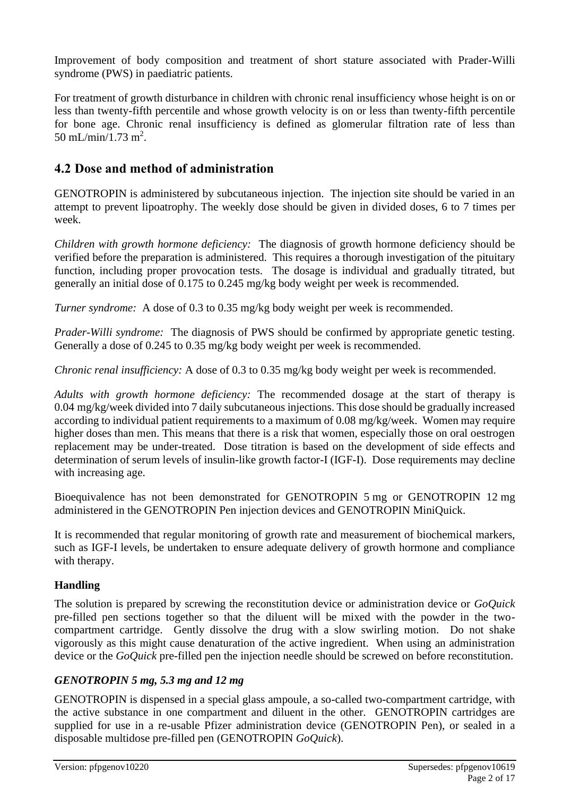Improvement of body composition and treatment of short stature associated with Prader-Willi syndrome (PWS) in paediatric patients.

For treatment of growth disturbance in children with chronic renal insufficiency whose height is on or less than twenty-fifth percentile and whose growth velocity is on or less than twenty-fifth percentile for bone age. Chronic renal insufficiency is defined as glomerular filtration rate of less than 50 mL/min/1.73 m<sup>2</sup>.

# **4.2 Dose and method of administration**

GENOTROPIN is administered by subcutaneous injection. The injection site should be varied in an attempt to prevent lipoatrophy. The weekly dose should be given in divided doses, 6 to 7 times per week.

*Children with growth hormone deficiency:* The diagnosis of growth hormone deficiency should be verified before the preparation is administered. This requires a thorough investigation of the pituitary function, including proper provocation tests. The dosage is individual and gradually titrated, but generally an initial dose of 0.175 to 0.245 mg/kg body weight per week is recommended.

*Turner syndrome:* A dose of 0.3 to 0.35 mg/kg body weight per week is recommended.

*Prader-Willi syndrome:* The diagnosis of PWS should be confirmed by appropriate genetic testing. Generally a dose of 0.245 to 0.35 mg/kg body weight per week is recommended.

*Chronic renal insufficiency:* A dose of 0.3 to 0.35 mg/kg body weight per week is recommended.

*Adults with growth hormone deficiency:* The recommended dosage at the start of therapy is 0.04 mg/kg/week divided into 7 daily subcutaneous injections. This dose should be gradually increased according to individual patient requirements to a maximum of 0.08 mg/kg/week. Women may require higher doses than men. This means that there is a risk that women, especially those on oral oestrogen replacement may be under-treated. Dose titration is based on the development of side effects and determination of serum levels of insulin-like growth factor-I (IGF-I). Dose requirements may decline with increasing age.

Bioequivalence has not been demonstrated for GENOTROPIN 5 mg or GENOTROPIN 12 mg administered in the GENOTROPIN Pen injection devices and GENOTROPIN MiniQuick.

It is recommended that regular monitoring of growth rate and measurement of biochemical markers, such as IGF-I levels, be undertaken to ensure adequate delivery of growth hormone and compliance with therapy.

### **Handling**

The solution is prepared by screwing the reconstitution device or administration device or *GoQuick*  pre-filled pen sections together so that the diluent will be mixed with the powder in the twocompartment cartridge. Gently dissolve the drug with a slow swirling motion. Do not shake vigorously as this might cause denaturation of the active ingredient. When using an administration device or the *GoQuick* pre-filled pen the injection needle should be screwed on before reconstitution.

### *GENOTROPIN 5 mg, 5.3 mg and 12 mg*

GENOTROPIN is dispensed in a special glass ampoule, a so-called two-compartment cartridge, with the active substance in one compartment and diluent in the other. GENOTROPIN cartridges are supplied for use in a re-usable Pfizer administration device (GENOTROPIN Pen), or sealed in a disposable multidose pre-filled pen (GENOTROPIN *GoQuick*).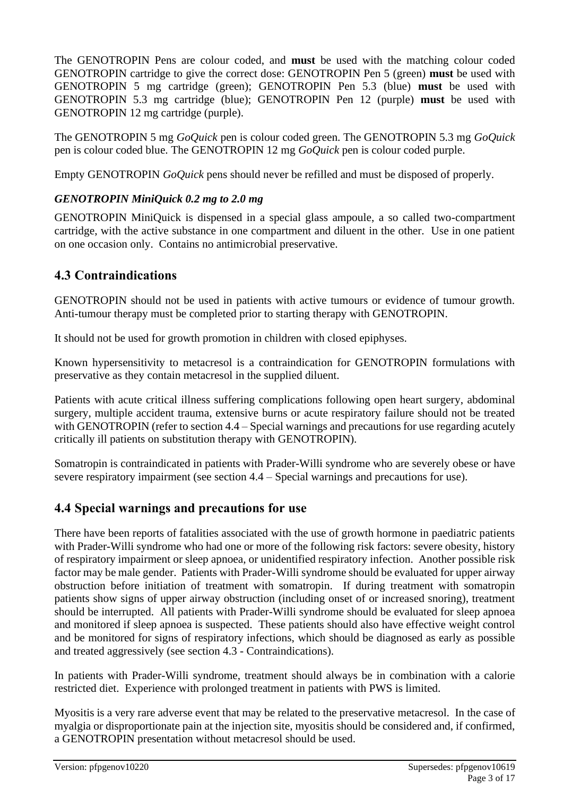The GENOTROPIN Pens are colour coded, and **must** be used with the matching colour coded GENOTROPIN cartridge to give the correct dose: GENOTROPIN Pen 5 (green) **must** be used with GENOTROPIN 5 mg cartridge (green); GENOTROPIN Pen 5.3 (blue) **must** be used with GENOTROPIN 5.3 mg cartridge (blue); GENOTROPIN Pen 12 (purple) **must** be used with GENOTROPIN 12 mg cartridge (purple).

The GENOTROPIN 5 mg *GoQuick* pen is colour coded green. The GENOTROPIN 5.3 mg *GoQuick*  pen is colour coded blue. The GENOTROPIN 12 mg *GoQuick* pen is colour coded purple.

Empty GENOTROPIN *GoQuick* pens should never be refilled and must be disposed of properly.

### *GENOTROPIN MiniQuick 0.2 mg to 2.0 mg*

GENOTROPIN MiniQuick is dispensed in a special glass ampoule, a so called two-compartment cartridge, with the active substance in one compartment and diluent in the other. Use in one patient on one occasion only. Contains no antimicrobial preservative.

# **4.3 Contraindications**

GENOTROPIN should not be used in patients with active tumours or evidence of tumour growth. Anti-tumour therapy must be completed prior to starting therapy with GENOTROPIN.

It should not be used for growth promotion in children with closed epiphyses.

Known hypersensitivity to metacresol is a contraindication for GENOTROPIN formulations with preservative as they contain metacresol in the supplied diluent.

Patients with acute critical illness suffering complications following open heart surgery, abdominal surgery, multiple accident trauma, extensive burns or acute respiratory failure should not be treated with GENOTROPIN (refer to section 4.4 – Special warnings and precautions for use regarding acutely critically ill patients on substitution therapy with GENOTROPIN).

Somatropin is contraindicated in patients with Prader-Willi syndrome who are severely obese or have severe respiratory impairment (see section 4.4 – Special warnings and precautions for use).

# **4.4 Special warnings and precautions for use**

There have been reports of fatalities associated with the use of growth hormone in paediatric patients with Prader-Willi syndrome who had one or more of the following risk factors: severe obesity, history of respiratory impairment or sleep apnoea, or unidentified respiratory infection. Another possible risk factor may be male gender. Patients with Prader-Willi syndrome should be evaluated for upper airway obstruction before initiation of treatment with somatropin. If during treatment with somatropin patients show signs of upper airway obstruction (including onset of or increased snoring), treatment should be interrupted. All patients with Prader-Willi syndrome should be evaluated for sleep apnoea and monitored if sleep apnoea is suspected. These patients should also have effective weight control and be monitored for signs of respiratory infections, which should be diagnosed as early as possible and treated aggressively (see section 4.3 - Contraindications).

In patients with Prader-Willi syndrome, treatment should always be in combination with a calorie restricted diet. Experience with prolonged treatment in patients with PWS is limited.

Myositis is a very rare adverse event that may be related to the preservative metacresol. In the case of myalgia or disproportionate pain at the injection site, myositis should be considered and, if confirmed, a GENOTROPIN presentation without metacresol should be used.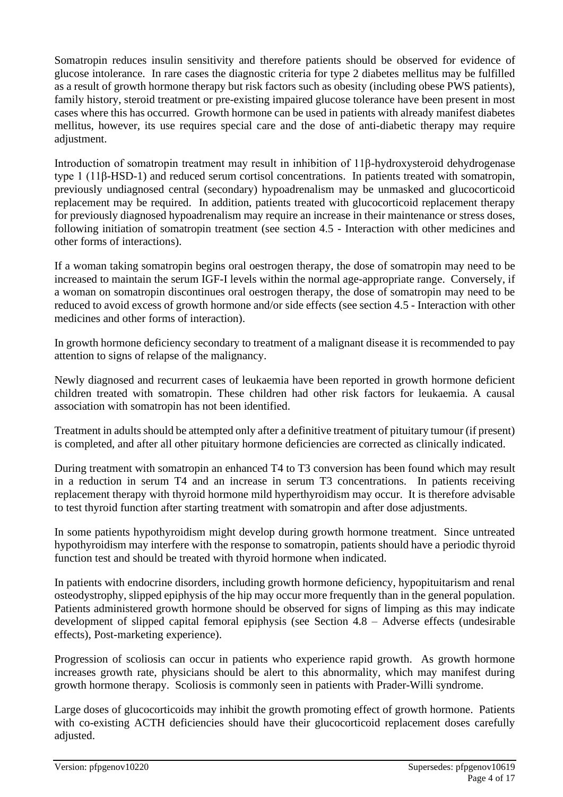Somatropin reduces insulin sensitivity and therefore patients should be observed for evidence of glucose intolerance. In rare cases the diagnostic criteria for type 2 diabetes mellitus may be fulfilled as a result of growth hormone therapy but risk factors such as obesity (including obese PWS patients), family history, steroid treatment or pre-existing impaired glucose tolerance have been present in most cases where this has occurred. Growth hormone can be used in patients with already manifest diabetes mellitus, however, its use requires special care and the dose of anti-diabetic therapy may require adjustment.

Introduction of somatropin treatment may result in inhibition of 11β-hydroxysteroid dehydrogenase type 1 (11β-HSD-1) and reduced serum cortisol concentrations. In patients treated with somatropin, previously undiagnosed central (secondary) hypoadrenalism may be unmasked and glucocorticoid replacement may be required. In addition, patients treated with glucocorticoid replacement therapy for previously diagnosed hypoadrenalism may require an increase in their maintenance or stress doses, following initiation of somatropin treatment (see section 4.5 - Interaction with other medicines and other forms of interactions).

If a woman taking somatropin begins oral oestrogen therapy, the dose of somatropin may need to be increased to maintain the serum IGF-I levels within the normal age-appropriate range. Conversely, if a woman on somatropin discontinues oral oestrogen therapy, the dose of somatropin may need to be reduced to avoid excess of growth hormone and/or side effects (see section 4.5 - Interaction with other medicines and other forms of interaction).

In growth hormone deficiency secondary to treatment of a malignant disease it is recommended to pay attention to signs of relapse of the malignancy.

Newly diagnosed and recurrent cases of leukaemia have been reported in growth hormone deficient children treated with somatropin. These children had other risk factors for leukaemia. A causal association with somatropin has not been identified.

Treatment in adults should be attempted only after a definitive treatment of pituitary tumour (if present) is completed, and after all other pituitary hormone deficiencies are corrected as clinically indicated.

During treatment with somatropin an enhanced T4 to T3 conversion has been found which may result in a reduction in serum T4 and an increase in serum T3 concentrations. In patients receiving replacement therapy with thyroid hormone mild hyperthyroidism may occur. It is therefore advisable to test thyroid function after starting treatment with somatropin and after dose adjustments.

In some patients hypothyroidism might develop during growth hormone treatment. Since untreated hypothyroidism may interfere with the response to somatropin, patients should have a periodic thyroid function test and should be treated with thyroid hormone when indicated.

In patients with endocrine disorders, including growth hormone deficiency, hypopituitarism and renal osteodystrophy, slipped epiphysis of the hip may occur more frequently than in the general population. Patients administered growth hormone should be observed for signs of limping as this may indicate development of slipped capital femoral epiphysis (see Section 4.8 – Adverse effects (undesirable effects), Post-marketing experience).

Progression of scoliosis can occur in patients who experience rapid growth. As growth hormone increases growth rate, physicians should be alert to this abnormality, which may manifest during growth hormone therapy. Scoliosis is commonly seen in patients with Prader-Willi syndrome.

Large doses of glucocorticoids may inhibit the growth promoting effect of growth hormone. Patients with co-existing ACTH deficiencies should have their glucocorticoid replacement doses carefully adjusted.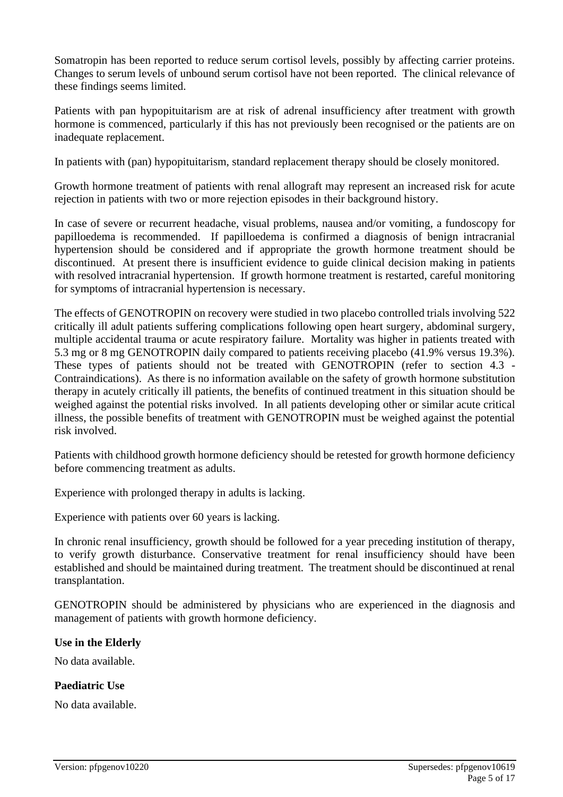Somatropin has been reported to reduce serum cortisol levels, possibly by affecting carrier proteins. Changes to serum levels of unbound serum cortisol have not been reported. The clinical relevance of these findings seems limited.

Patients with pan hypopituitarism are at risk of adrenal insufficiency after treatment with growth hormone is commenced, particularly if this has not previously been recognised or the patients are on inadequate replacement.

In patients with (pan) hypopituitarism, standard replacement therapy should be closely monitored.

Growth hormone treatment of patients with renal allograft may represent an increased risk for acute rejection in patients with two or more rejection episodes in their background history.

In case of severe or recurrent headache, visual problems, nausea and/or vomiting, a fundoscopy for papilloedema is recommended. If papilloedema is confirmed a diagnosis of benign intracranial hypertension should be considered and if appropriate the growth hormone treatment should be discontinued. At present there is insufficient evidence to guide clinical decision making in patients with resolved intracranial hypertension. If growth hormone treatment is restarted, careful monitoring for symptoms of intracranial hypertension is necessary.

The effects of GENOTROPIN on recovery were studied in two placebo controlled trials involving 522 critically ill adult patients suffering complications following open heart surgery, abdominal surgery, multiple accidental trauma or acute respiratory failure. Mortality was higher in patients treated with 5.3 mg or 8 mg GENOTROPIN daily compared to patients receiving placebo (41.9% versus 19.3%). These types of patients should not be treated with GENOTROPIN (refer to section 4.3 - Contraindications). As there is no information available on the safety of growth hormone substitution therapy in acutely critically ill patients, the benefits of continued treatment in this situation should be weighed against the potential risks involved. In all patients developing other or similar acute critical illness, the possible benefits of treatment with GENOTROPIN must be weighed against the potential risk involved.

Patients with childhood growth hormone deficiency should be retested for growth hormone deficiency before commencing treatment as adults.

Experience with prolonged therapy in adults is lacking.

Experience with patients over 60 years is lacking.

In chronic renal insufficiency, growth should be followed for a year preceding institution of therapy, to verify growth disturbance. Conservative treatment for renal insufficiency should have been established and should be maintained during treatment. The treatment should be discontinued at renal transplantation.

GENOTROPIN should be administered by physicians who are experienced in the diagnosis and management of patients with growth hormone deficiency.

### **Use in the Elderly**

No data available.

### **Paediatric Use**

No data available.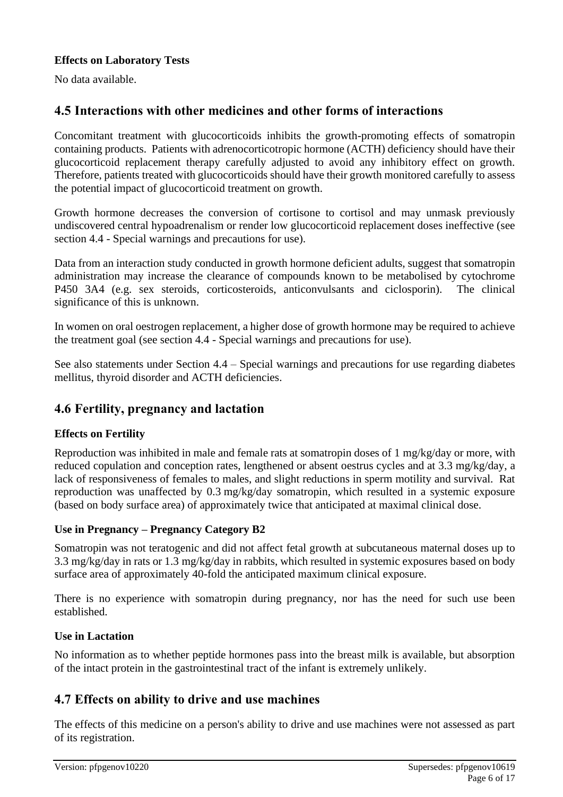### **Effects on Laboratory Tests**

No data available.

## **4.5 Interactions with other medicines and other forms of interactions**

Concomitant treatment with glucocorticoids inhibits the growth-promoting effects of somatropin containing products. Patients with adrenocorticotropic hormone (ACTH) deficiency should have their glucocorticoid replacement therapy carefully adjusted to avoid any inhibitory effect on growth. Therefore, patients treated with glucocorticoids should have their growth monitored carefully to assess the potential impact of glucocorticoid treatment on growth.

Growth hormone decreases the conversion of cortisone to cortisol and may unmask previously undiscovered central hypoadrenalism or render low glucocorticoid replacement doses ineffective (see section 4.4 - Special warnings and precautions for use).

Data from an interaction study conducted in growth hormone deficient adults, suggest that somatropin administration may increase the clearance of compounds known to be metabolised by cytochrome P450 3A4 (e.g. sex steroids, corticosteroids, anticonvulsants and ciclosporin). The clinical significance of this is unknown.

In women on oral oestrogen replacement, a higher dose of growth hormone may be required to achieve the treatment goal (see section 4.4 - Special warnings and precautions for use).

See also statements under Section 4.4 – Special warnings and precautions for use regarding diabetes mellitus, thyroid disorder and ACTH deficiencies.

### **4.6 Fertility, pregnancy and lactation**

### **Effects on Fertility**

Reproduction was inhibited in male and female rats at somatropin doses of 1 mg/kg/day or more, with reduced copulation and conception rates, lengthened or absent oestrus cycles and at 3.3 mg/kg/day, a lack of responsiveness of females to males, and slight reductions in sperm motility and survival. Rat reproduction was unaffected by 0.3 mg/kg/day somatropin, which resulted in a systemic exposure (based on body surface area) of approximately twice that anticipated at maximal clinical dose.

### **Use in Pregnancy – Pregnancy Category B2**

Somatropin was not teratogenic and did not affect fetal growth at subcutaneous maternal doses up to 3.3 mg/kg/day in rats or 1.3 mg/kg/day in rabbits, which resulted in systemic exposures based on body surface area of approximately 40-fold the anticipated maximum clinical exposure.

There is no experience with somatropin during pregnancy, nor has the need for such use been established.

### **Use in Lactation**

No information as to whether peptide hormones pass into the breast milk is available, but absorption of the intact protein in the gastrointestinal tract of the infant is extremely unlikely.

### **4.7 Effects on ability to drive and use machines**

The effects of this medicine on a person's ability to drive and use machines were not assessed as part of its registration.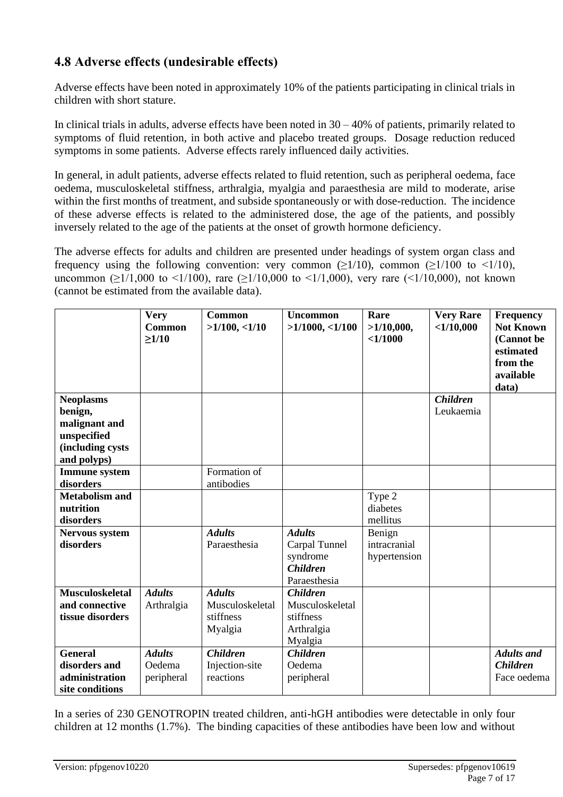# **4.8 Adverse effects (undesirable effects)**

Adverse effects have been noted in approximately 10% of the patients participating in clinical trials in children with short stature.

In clinical trials in adults, adverse effects have been noted in  $30 - 40\%$  of patients, primarily related to symptoms of fluid retention, in both active and placebo treated groups. Dosage reduction reduced symptoms in some patients. Adverse effects rarely influenced daily activities.

In general, in adult patients, adverse effects related to fluid retention, such as peripheral oedema, face oedema, musculoskeletal stiffness, arthralgia, myalgia and paraesthesia are mild to moderate, arise within the first months of treatment, and subside spontaneously or with dose-reduction. The incidence of these adverse effects is related to the administered dose, the age of the patients, and possibly inversely related to the age of the patients at the onset of growth hormone deficiency.

The adverse effects for adults and children are presented under headings of system organ class and frequency using the following convention: very common  $(>1/10)$ , common  $(>1/100$  to  $\leq 1/10)$ , uncommon ( $\geq$ 1/1,000 to <1/100), rare ( $\geq$ 1/10,000 to <1/1,000), very rare (<1/10,000), not known (cannot be estimated from the available data).

|                        | <b>Very</b><br><b>Common</b><br>$\geq$ 1/10 | <b>Common</b><br>>1/100, <1/10 | <b>Uncommon</b><br>$>1/1000$ , <1/100 | Rare<br>>1/10,000,<br><1/1000 | <b>Very Rare</b><br><1/10,000 | <b>Frequency</b><br><b>Not Known</b><br>(Cannot be<br>estimated<br>from the<br>available<br>data) |
|------------------------|---------------------------------------------|--------------------------------|---------------------------------------|-------------------------------|-------------------------------|---------------------------------------------------------------------------------------------------|
| <b>Neoplasms</b>       |                                             |                                |                                       |                               | <b>Children</b>               |                                                                                                   |
| benign,                |                                             |                                |                                       |                               | Leukaemia                     |                                                                                                   |
| malignant and          |                                             |                                |                                       |                               |                               |                                                                                                   |
| unspecified            |                                             |                                |                                       |                               |                               |                                                                                                   |
| (including cysts       |                                             |                                |                                       |                               |                               |                                                                                                   |
| and polyps)            |                                             |                                |                                       |                               |                               |                                                                                                   |
| <b>Immune</b> system   |                                             | Formation of                   |                                       |                               |                               |                                                                                                   |
| disorders              |                                             | antibodies                     |                                       |                               |                               |                                                                                                   |
| <b>Metabolism and</b>  |                                             |                                |                                       | Type 2                        |                               |                                                                                                   |
| nutrition              |                                             |                                |                                       | diabetes                      |                               |                                                                                                   |
| disorders              |                                             |                                |                                       | mellitus                      |                               |                                                                                                   |
| Nervous system         |                                             | <b>Adults</b>                  | <b>Adults</b>                         | Benign                        |                               |                                                                                                   |
| disorders              |                                             | Paraesthesia                   | Carpal Tunnel                         | intracranial                  |                               |                                                                                                   |
|                        |                                             |                                | syndrome                              | hypertension                  |                               |                                                                                                   |
|                        |                                             |                                | <b>Children</b>                       |                               |                               |                                                                                                   |
| <b>Musculoskeletal</b> | <b>Adults</b>                               | <b>Adults</b>                  | Paraesthesia<br><b>Children</b>       |                               |                               |                                                                                                   |
| and connective         |                                             | Musculoskeletal                | Musculoskeletal                       |                               |                               |                                                                                                   |
| tissue disorders       | Arthralgia                                  | stiffness                      | stiffness                             |                               |                               |                                                                                                   |
|                        |                                             | Myalgia                        | Arthralgia                            |                               |                               |                                                                                                   |
|                        |                                             |                                | Myalgia                               |                               |                               |                                                                                                   |
| <b>General</b>         | <b>Adults</b>                               | <b>Children</b>                | <b>Children</b>                       |                               |                               | <b>Adults</b> and                                                                                 |
| disorders and          | Oedema                                      | Injection-site                 | Oedema                                |                               |                               | <b>Children</b>                                                                                   |
| administration         | peripheral                                  | reactions                      | peripheral                            |                               |                               | Face oedema                                                                                       |
| site conditions        |                                             |                                |                                       |                               |                               |                                                                                                   |

In a series of 230 GENOTROPIN treated children, anti-hGH antibodies were detectable in only four children at 12 months (1.7%). The binding capacities of these antibodies have been low and without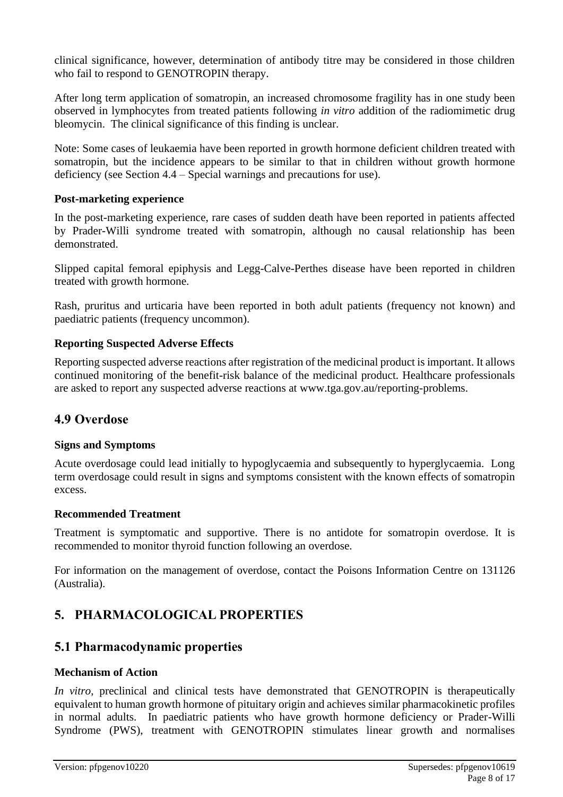clinical significance, however, determination of antibody titre may be considered in those children who fail to respond to GENOTROPIN therapy.

After long term application of somatropin, an increased chromosome fragility has in one study been observed in lymphocytes from treated patients following *in vitro* addition of the radiomimetic drug bleomycin. The clinical significance of this finding is unclear.

Note: Some cases of leukaemia have been reported in growth hormone deficient children treated with somatropin, but the incidence appears to be similar to that in children without growth hormone deficiency (see Section 4.4 – Special warnings and precautions for use).

#### **Post-marketing experience**

In the post-marketing experience, rare cases of sudden death have been reported in patients affected by Prader-Willi syndrome treated with somatropin, although no causal relationship has been demonstrated.

Slipped capital femoral epiphysis and Legg-Calve-Perthes disease have been reported in children treated with growth hormone.

Rash, pruritus and urticaria have been reported in both adult patients (frequency not known) and paediatric patients (frequency uncommon).

#### **Reporting Suspected Adverse Effects**

Reporting suspected adverse reactions after registration of the medicinal product is important. It allows continued monitoring of the benefit-risk balance of the medicinal product. Healthcare professionals are asked to report any suspected adverse reactions at [www.tga.gov.au/reporting-problems.](http://www.tga.gov.au/reporting-problems)

### **4.9 Overdose**

#### **Signs and Symptoms**

Acute overdosage could lead initially to hypoglycaemia and subsequently to hyperglycaemia. Long term overdosage could result in signs and symptoms consistent with the known effects of somatropin excess.

#### **Recommended Treatment**

Treatment is symptomatic and supportive. There is no antidote for somatropin overdose. It is recommended to monitor thyroid function following an overdose.

For information on the management of overdose, contact the Poisons Information Centre on 131126 (Australia).

# **5. PHARMACOLOGICAL PROPERTIES**

### **5.1 Pharmacodynamic properties**

#### **Mechanism of Action**

*In vitro*, preclinical and clinical tests have demonstrated that GENOTROPIN is therapeutically equivalent to human growth hormone of pituitary origin and achieves similar pharmacokinetic profiles in normal adults. In paediatric patients who have growth hormone deficiency or Prader-Willi Syndrome (PWS), treatment with GENOTROPIN stimulates linear growth and normalises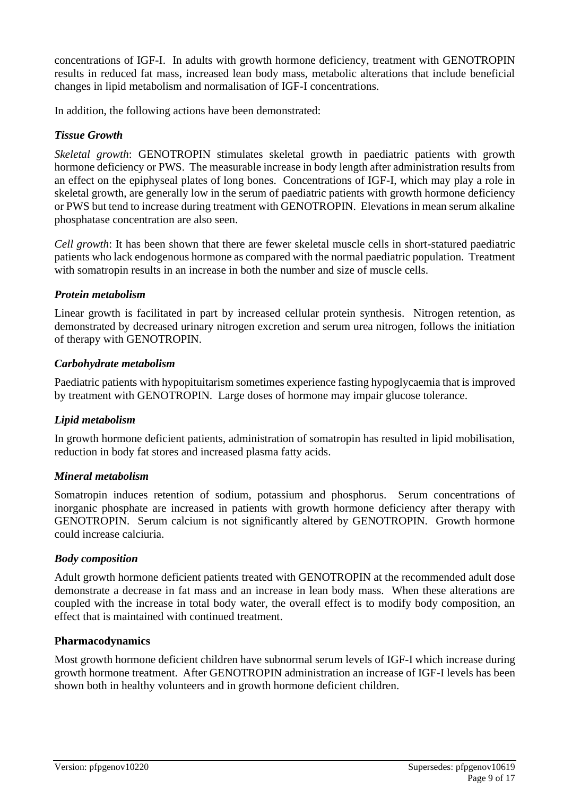concentrations of IGF-I. In adults with growth hormone deficiency, treatment with GENOTROPIN results in reduced fat mass, increased lean body mass, metabolic alterations that include beneficial changes in lipid metabolism and normalisation of IGF-I concentrations.

In addition, the following actions have been demonstrated:

#### *Tissue Growth*

*Skeletal growth*: GENOTROPIN stimulates skeletal growth in paediatric patients with growth hormone deficiency or PWS. The measurable increase in body length after administration results from an effect on the epiphyseal plates of long bones. Concentrations of IGF-I, which may play a role in skeletal growth, are generally low in the serum of paediatric patients with growth hormone deficiency or PWS but tend to increase during treatment with GENOTROPIN. Elevations in mean serum alkaline phosphatase concentration are also seen.

*Cell growth*: It has been shown that there are fewer skeletal muscle cells in short-statured paediatric patients who lack endogenous hormone as compared with the normal paediatric population. Treatment with somatropin results in an increase in both the number and size of muscle cells.

#### *Protein metabolism*

Linear growth is facilitated in part by increased cellular protein synthesis. Nitrogen retention, as demonstrated by decreased urinary nitrogen excretion and serum urea nitrogen, follows the initiation of therapy with GENOTROPIN.

#### *Carbohydrate metabolism*

Paediatric patients with hypopituitarism sometimes experience fasting hypoglycaemia that is improved by treatment with GENOTROPIN. Large doses of hormone may impair glucose tolerance.

#### *Lipid metabolism*

In growth hormone deficient patients, administration of somatropin has resulted in lipid mobilisation, reduction in body fat stores and increased plasma fatty acids.

#### *Mineral metabolism*

Somatropin induces retention of sodium, potassium and phosphorus. Serum concentrations of inorganic phosphate are increased in patients with growth hormone deficiency after therapy with GENOTROPIN. Serum calcium is not significantly altered by GENOTROPIN. Growth hormone could increase calciuria.

#### *Body composition*

Adult growth hormone deficient patients treated with GENOTROPIN at the recommended adult dose demonstrate a decrease in fat mass and an increase in lean body mass. When these alterations are coupled with the increase in total body water, the overall effect is to modify body composition, an effect that is maintained with continued treatment.

#### **Pharmacodynamics**

Most growth hormone deficient children have subnormal serum levels of IGF-I which increase during growth hormone treatment. After GENOTROPIN administration an increase of IGF-I levels has been shown both in healthy volunteers and in growth hormone deficient children.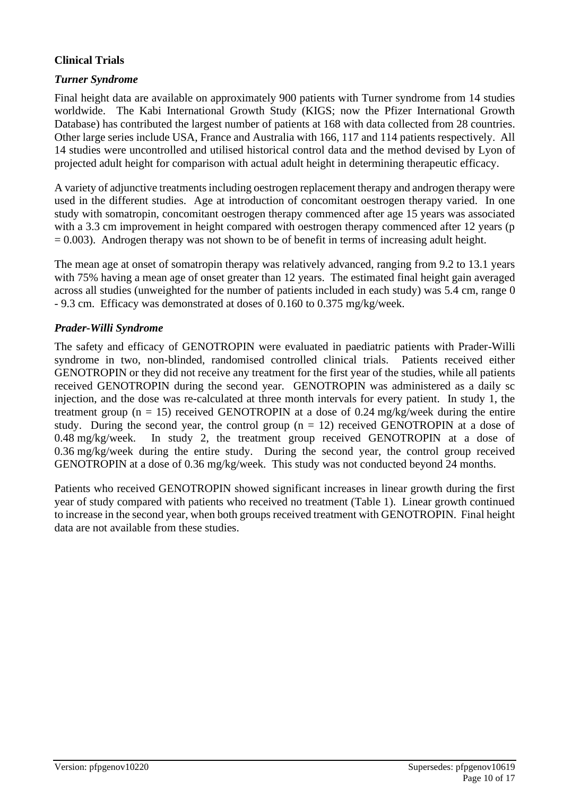### **Clinical Trials**

### *Turner Syndrome*

Final height data are available on approximately 900 patients with Turner syndrome from 14 studies worldwide. The Kabi International Growth Study (KIGS; now the Pfizer International Growth Database) has contributed the largest number of patients at 168 with data collected from 28 countries. Other large series include USA, France and Australia with 166, 117 and 114 patients respectively. All 14 studies were uncontrolled and utilised historical control data and the method devised by Lyon of projected adult height for comparison with actual adult height in determining therapeutic efficacy.

A variety of adjunctive treatments including oestrogen replacement therapy and androgen therapy were used in the different studies. Age at introduction of concomitant oestrogen therapy varied. In one study with somatropin, concomitant oestrogen therapy commenced after age 15 years was associated with a 3.3 cm improvement in height compared with oestrogen therapy commenced after 12 years (p  $= 0.003$ ). Androgen therapy was not shown to be of benefit in terms of increasing adult height.

The mean age at onset of somatropin therapy was relatively advanced, ranging from 9.2 to 13.1 years with 75% having a mean age of onset greater than 12 years. The estimated final height gain averaged across all studies (unweighted for the number of patients included in each study) was 5.4 cm, range 0 - 9.3 cm. Efficacy was demonstrated at doses of 0.160 to 0.375 mg/kg/week.

### *Prader-Willi Syndrome*

The safety and efficacy of GENOTROPIN were evaluated in paediatric patients with Prader-Willi syndrome in two, non-blinded, randomised controlled clinical trials. Patients received either GENOTROPIN or they did not receive any treatment for the first year of the studies, while all patients received GENOTROPIN during the second year. GENOTROPIN was administered as a daily sc injection, and the dose was re-calculated at three month intervals for every patient. In study 1, the treatment group ( $n = 15$ ) received GENOTROPIN at a dose of 0.24 mg/kg/week during the entire study. During the second year, the control group  $(n = 12)$  received GENOTROPIN at a dose of  $0.48 \text{ mg/kg/week}$ . In study 2, the treatment group received GENOTROPIN at a dose of 0.36 mg/kg/week during the entire study. During the second year, the control group received GENOTROPIN at a dose of 0.36 mg/kg/week. This study was not conducted beyond 24 months.

Patients who received GENOTROPIN showed significant increases in linear growth during the first year of study compared with patients who received no treatment (Table 1). Linear growth continued to increase in the second year, when both groups received treatment with GENOTROPIN. Final height data are not available from these studies.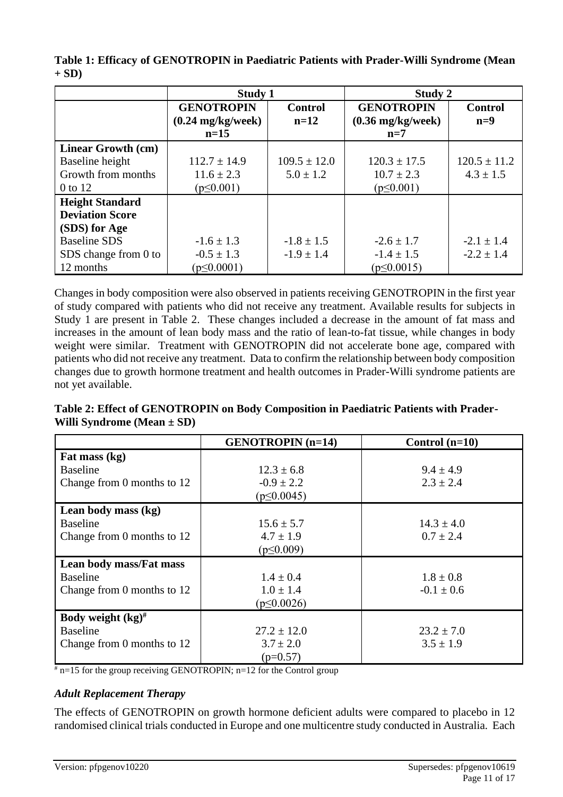|                           | <b>Study 1</b>              |                  | Study 2                     |                  |  |  |
|---------------------------|-----------------------------|------------------|-----------------------------|------------------|--|--|
|                           | <b>GENOTROPIN</b>           | <b>Control</b>   | <b>GENOTROPIN</b>           | <b>Control</b>   |  |  |
|                           | $(0.24 \text{ mg/kg/week})$ | $n=12$           | $(0.36 \text{ mg/kg/week})$ | $n=9$            |  |  |
|                           | $n=15$                      |                  | $n=7$                       |                  |  |  |
| <b>Linear Growth (cm)</b> |                             |                  |                             |                  |  |  |
| Baseline height           | $112.7 \pm 14.9$            | $109.5 \pm 12.0$ | $120.3 \pm 17.5$            | $120.5 \pm 11.2$ |  |  |
| Growth from months        | $11.6 \pm 2.3$              | $5.0 \pm 1.2$    | $10.7 \pm 2.3$              | $4.3 \pm 1.5$    |  |  |
| 0 to 12                   | $(p \le 0.001)$             |                  | $(p \le 0.001)$             |                  |  |  |
| <b>Height Standard</b>    |                             |                  |                             |                  |  |  |
| <b>Deviation Score</b>    |                             |                  |                             |                  |  |  |
| (SDS) for Age             |                             |                  |                             |                  |  |  |
| <b>Baseline SDS</b>       | $-1.6 \pm 1.3$              | $-1.8 \pm 1.5$   | $-2.6 \pm 1.7$              | $-2.1 \pm 1.4$   |  |  |
| SDS change from 0 to      | $-0.5 \pm 1.3$              | $-1.9 \pm 1.4$   | $-1.4 \pm 1.5$              | $-2.2 \pm 1.4$   |  |  |
| 12 months                 | $(p \le 0.0001)$            |                  | $(p \le 0.0015)$            |                  |  |  |

**Table 1: Efficacy of GENOTROPIN in Paediatric Patients with Prader-Willi Syndrome (Mean + SD)**

Changes in body composition were also observed in patients receiving GENOTROPIN in the first year of study compared with patients who did not receive any treatment. Available results for subjects in Study 1 are present in Table 2. These changes included a decrease in the amount of fat mass and increases in the amount of lean body mass and the ratio of lean-to-fat tissue, while changes in body weight were similar. Treatment with GENOTROPIN did not accelerate bone age, compared with patients who did not receive any treatment. Data to confirm the relationship between body composition changes due to growth hormone treatment and health outcomes in Prader-Willi syndrome patients are not yet available.

|                                | Table 2: Effect of GENOTROPIN on Body Composition in Paediatric Patients with Prader- |
|--------------------------------|---------------------------------------------------------------------------------------|
| Willi Syndrome (Mean $\pm$ SD) |                                                                                       |

|                                 | <b>GENOTROPIN</b> (n=14) | Control $(n=10)$ |
|---------------------------------|--------------------------|------------------|
| Fat mass (kg)                   |                          |                  |
| <b>Baseline</b>                 | $12.3 \pm 6.8$           | $9.4 \pm 4.9$    |
| Change from 0 months to 12      | $-0.9 \pm 2.2$           | $2.3 \pm 2.4$    |
|                                 | $(p \le 0.0045)$         |                  |
| Lean body mass (kg)             |                          |                  |
| <b>Baseline</b>                 | $15.6 \pm 5.7$           | $14.3 \pm 4.0$   |
| Change from 0 months to 12      | $4.7 \pm 1.9$            | $0.7 \pm 2.4$    |
|                                 | $(p \le 0.009)$          |                  |
| Lean body mass/Fat mass         |                          |                  |
| <b>Baseline</b>                 | $1.4 \pm 0.4$            | $1.8 \pm 0.8$    |
| Change from 0 months to 12      | $1.0 \pm 1.4$            | $-0.1 \pm 0.6$   |
|                                 | $(p \le 0.0026)$         |                  |
| Body weight $(kg)$ <sup>#</sup> |                          |                  |
| <b>Baseline</b>                 | $27.2 \pm 12.0$          | $23.2 \pm 7.0$   |
| Change from 0 months to 12      | $3.7 \pm 2.0$            | $3.5 \pm 1.9$    |
|                                 | $(p=0.57)$               |                  |

 $\frac{1}{\pi}$  n=15 for the group receiving GENOTROPIN; n=12 for the Control group

### *Adult Replacement Therapy*

The effects of GENOTROPIN on growth hormone deficient adults were compared to placebo in 12 randomised clinical trials conducted in Europe and one multicentre study conducted in Australia. Each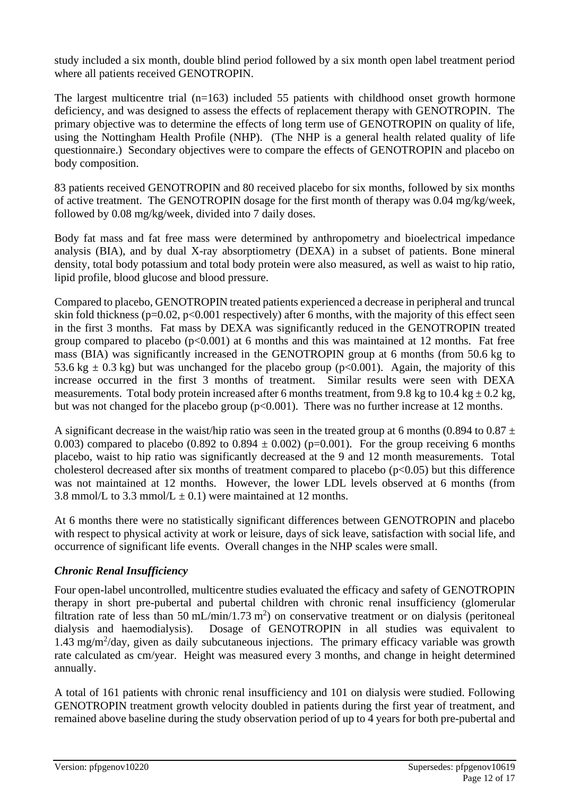study included a six month, double blind period followed by a six month open label treatment period where all patients received GENOTROPIN.

The largest multicentre trial (n=163) included 55 patients with childhood onset growth hormone deficiency, and was designed to assess the effects of replacement therapy with GENOTROPIN. The primary objective was to determine the effects of long term use of GENOTROPIN on quality of life, using the Nottingham Health Profile (NHP). (The NHP is a general health related quality of life questionnaire.) Secondary objectives were to compare the effects of GENOTROPIN and placebo on body composition.

83 patients received GENOTROPIN and 80 received placebo for six months, followed by six months of active treatment. The GENOTROPIN dosage for the first month of therapy was 0.04 mg/kg/week, followed by 0.08 mg/kg/week, divided into 7 daily doses.

Body fat mass and fat free mass were determined by anthropometry and bioelectrical impedance analysis (BIA), and by dual X-ray absorptiometry (DEXA) in a subset of patients. Bone mineral density, total body potassium and total body protein were also measured, as well as waist to hip ratio, lipid profile, blood glucose and blood pressure.

Compared to placebo, GENOTROPIN treated patients experienced a decrease in peripheral and truncal skin fold thickness ( $p=0.02$ ,  $p<0.001$  respectively) after 6 months, with the majority of this effect seen in the first 3 months. Fat mass by DEXA was significantly reduced in the GENOTROPIN treated group compared to placebo  $(p<0.001)$  at 6 months and this was maintained at 12 months. Fat free mass (BIA) was significantly increased in the GENOTROPIN group at 6 months (from 50.6 kg to 53.6 kg  $\pm$  0.3 kg) but was unchanged for the placebo group (p<0.001). Again, the majority of this increase occurred in the first 3 months of treatment. Similar results were seen with DEXA measurements. Total body protein increased after 6 months treatment, from 9.8 kg to 10.4 kg  $\pm$  0.2 kg, but was not changed for the placebo group ( $p<0.001$ ). There was no further increase at 12 months.

A significant decrease in the waist/hip ratio was seen in the treated group at 6 months (0.894 to 0.87  $\pm$ 0.003) compared to placebo (0.892 to 0.894  $\pm$  0.002) (p=0.001). For the group receiving 6 months placebo, waist to hip ratio was significantly decreased at the 9 and 12 month measurements. Total cholesterol decreased after six months of treatment compared to placebo  $(p<0.05)$  but this difference was not maintained at 12 months. However, the lower LDL levels observed at 6 months (from 3.8 mmol/L to 3.3 mmol/L  $\pm$  0.1) were maintained at 12 months.

At 6 months there were no statistically significant differences between GENOTROPIN and placebo with respect to physical activity at work or leisure, days of sick leave, satisfaction with social life, and occurrence of significant life events. Overall changes in the NHP scales were small.

### *Chronic Renal Insufficiency*

Four open-label uncontrolled, multicentre studies evaluated the efficacy and safety of GENOTROPIN therapy in short pre-pubertal and pubertal children with chronic renal insufficiency (glomerular filtration rate of less than 50 mL/min/1.73 m<sup>2</sup>) on conservative treatment or on dialysis (peritoneal dialysis and haemodialysis). Dosage of GENOTROPIN in all studies was equivalent to 1.43 mg/m<sup>2</sup>/day, given as daily subcutaneous injections. The primary efficacy variable was growth rate calculated as cm/year. Height was measured every 3 months, and change in height determined annually.

A total of 161 patients with chronic renal insufficiency and 101 on dialysis were studied. Following GENOTROPIN treatment growth velocity doubled in patients during the first year of treatment, and remained above baseline during the study observation period of up to 4 years for both pre-pubertal and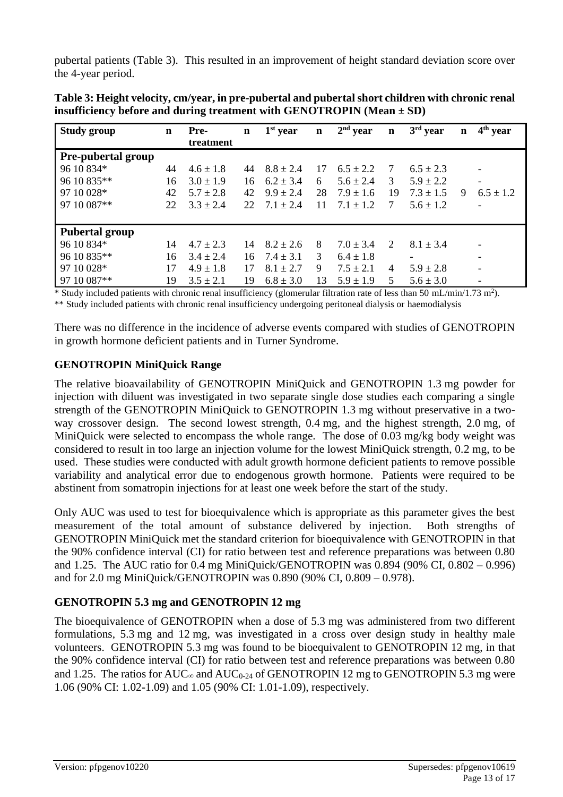pubertal patients (Table 3). This resulted in an improvement of height standard deviation score over the 4-year period.

| <b>Study group</b>    | $\mathbf n$ | Pre-<br>treatment | $\mathbf n$ | $1st$ year    | $\mathbf n$ | $2nd$ year    | $\mathbf n$                 | $3rd$ year               | $\mathbf n$ | $4th$ year               |
|-----------------------|-------------|-------------------|-------------|---------------|-------------|---------------|-----------------------------|--------------------------|-------------|--------------------------|
| Pre-pubertal group    |             |                   |             |               |             |               |                             |                          |             |                          |
| 96 10 834*            | 44          | $4.6 \pm 1.8$     | 44          | $8.8 \pm 2.4$ | 17          | $6.5 \pm 2.2$ | 7                           | $6.5 \pm 2.3$            |             | $\overline{\phantom{a}}$ |
| 96 10 835**           | 16          | $3.0 \pm 1.9$     | 16          | $6.2 \pm 3.4$ | 6           | $5.6 \pm 2.4$ | 3                           | $5.9 \pm 2.2$            |             | $\overline{\phantom{a}}$ |
| 97 10 028*            | 42          | $5.7 \pm 2.8$     | 42          | $9.9 \pm 2.4$ | 28          | $7.9 \pm 1.6$ | 19                          | $7.3 \pm 1.5$            | 9           | $6.5 \pm 1.2$            |
| 97 10 087**           | 22          | $3.3 \pm 2.4$     | 22.         | $7.1 + 2.4$   | 11          | $7.1 + 1.2$   | 7                           | $5.6 \pm 1.2$            |             | ۰                        |
| <b>Pubertal group</b> |             |                   |             |               |             |               |                             |                          |             |                          |
| 96 10 834*            | 14          | $4.7 \pm 2.3$     | 14          | $8.2 \pm 2.6$ | 8           | $7.0 \pm 3.4$ | $\mathcal{D}_{\mathcal{L}}$ | $8.1 \pm 3.4$            |             |                          |
| 96 10 835**           | 16          | $3.4 \pm 2.4$     | 16          | $7.4 \pm 3.1$ | 3           | $6.4 \pm 1.8$ |                             | $\overline{\phantom{a}}$ |             | -                        |
| 97 10 028*            | 17          | $4.9 \pm 1.8$     | 17          | $8.1 + 2.7$   | 9           | $7.5 \pm 2.1$ | 4                           | $5.9 \pm 2.8$            |             | $\overline{\phantom{0}}$ |
| 97 10 087**           | 19          | $3.5 \pm 2.1$     | 19          | $6.8 \pm 3.0$ | 13          | $5.9 \pm 1.9$ | 5                           | $5.6 \pm 3.0$            |             | -                        |

**Table 3: Height velocity, cm/year, in pre-pubertal and pubertal short children with chronic renal insufficiency before and during treatment with GENOTROPIN (Mean ± SD)**

\* Study included patients with chronic renal insufficiency (glomerular filtration rate of less than 50 mL/min/1.73 m<sup>2</sup> ).

\*\* Study included patients with chronic renal insufficiency undergoing peritoneal dialysis or haemodialysis

There was no difference in the incidence of adverse events compared with studies of GENOTROPIN in growth hormone deficient patients and in Turner Syndrome.

### **GENOTROPIN MiniQuick Range**

The relative bioavailability of GENOTROPIN MiniQuick and GENOTROPIN 1.3 mg powder for injection with diluent was investigated in two separate single dose studies each comparing a single strength of the GENOTROPIN MiniQuick to GENOTROPIN 1.3 mg without preservative in a twoway crossover design. The second lowest strength, 0.4 mg, and the highest strength, 2.0 mg, of MiniQuick were selected to encompass the whole range. The dose of 0.03 mg/kg body weight was considered to result in too large an injection volume for the lowest MiniQuick strength, 0.2 mg, to be used. These studies were conducted with adult growth hormone deficient patients to remove possible variability and analytical error due to endogenous growth hormone. Patients were required to be abstinent from somatropin injections for at least one week before the start of the study.

Only AUC was used to test for bioequivalence which is appropriate as this parameter gives the best measurement of the total amount of substance delivered by injection. Both strengths of GENOTROPIN MiniQuick met the standard criterion for bioequivalence with GENOTROPIN in that the 90% confidence interval (CI) for ratio between test and reference preparations was between 0.80 and 1.25. The AUC ratio for 0.4 mg MiniQuick/GENOTROPIN was 0.894 (90% CI, 0.802 – 0.996) and for 2.0 mg MiniQuick/GENOTROPIN was 0.890 (90% CI, 0.809 – 0.978).

### **GENOTROPIN 5.3 mg and GENOTROPIN 12 mg**

The bioequivalence of GENOTROPIN when a dose of 5.3 mg was administered from two different formulations, 5.3 mg and 12 mg, was investigated in a cross over design study in healthy male volunteers. GENOTROPIN 5.3 mg was found to be bioequivalent to GENOTROPIN 12 mg, in that the 90% confidence interval (CI) for ratio between test and reference preparations was between 0.80 and 1.25. The ratios for AUC<sub>∞</sub> and AUC<sub>0-24</sub> of GENOTROPIN 12 mg to GENOTROPIN 5.3 mg were 1.06 (90% CI: 1.02-1.09) and 1.05 (90% CI: 1.01-1.09), respectively.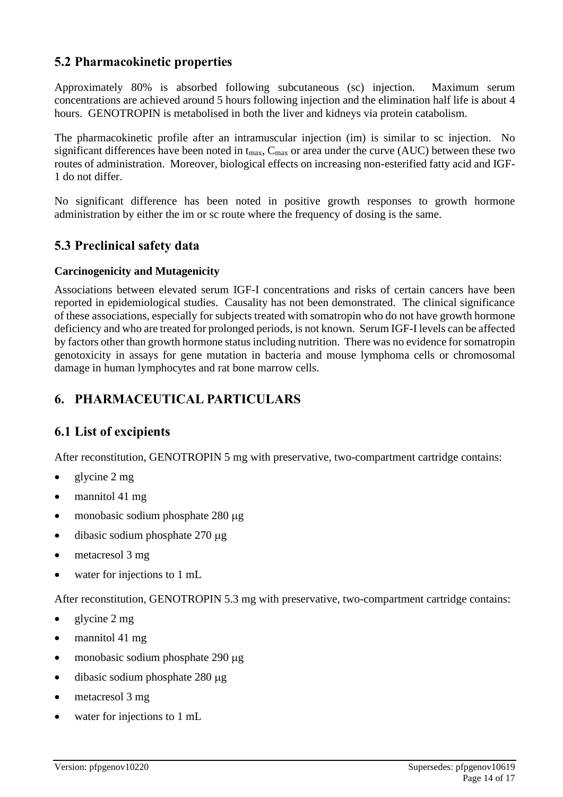# **5.2 Pharmacokinetic properties**

Approximately 80% is absorbed following subcutaneous (sc) injection. Maximum serum concentrations are achieved around 5 hours following injection and the elimination half life is about 4 hours. GENOTROPIN is metabolised in both the liver and kidneys via protein catabolism.

The pharmacokinetic profile after an intramuscular injection (im) is similar to sc injection. No significant differences have been noted in  $t_{\text{max}}$ ,  $C_{\text{max}}$  or area under the curve (AUC) between these two routes of administration. Moreover, biological effects on increasing non-esterified fatty acid and IGF-1 do not differ.

No significant difference has been noted in positive growth responses to growth hormone administration by either the im or sc route where the frequency of dosing is the same.

## **5.3 Preclinical safety data**

### **Carcinogenicity and Mutagenicity**

Associations between elevated serum IGF-I concentrations and risks of certain cancers have been reported in epidemiological studies. Causality has not been demonstrated. The clinical significance of these associations, especially for subjects treated with somatropin who do not have growth hormone deficiency and who are treated for prolonged periods, is not known. Serum IGF-I levels can be affected by factors other than growth hormone status including nutrition. There was no evidence for somatropin genotoxicity in assays for gene mutation in bacteria and mouse lymphoma cells or chromosomal damage in human lymphocytes and rat bone marrow cells.

# **6. PHARMACEUTICAL PARTICULARS**

# **6.1 List of excipients**

After reconstitution, GENOTROPIN 5 mg with preservative, two-compartment cartridge contains:

- glycine 2 mg
- mannitol 41 mg
- monobasic sodium phosphate  $280 \mu$ g
- dibasic sodium phosphate  $270 \mu$ g
- metacresol 3 mg
- water for injections to 1 mL

After reconstitution, GENOTROPIN 5.3 mg with preservative, two-compartment cartridge contains:

- glycine 2 mg
- mannitol 41 mg
- monobasic sodium phosphate  $290 \mu$ g
- $\bullet$  dibasic sodium phosphate 280  $\mu$ g
- metacresol 3 mg
- water for injections to 1 mL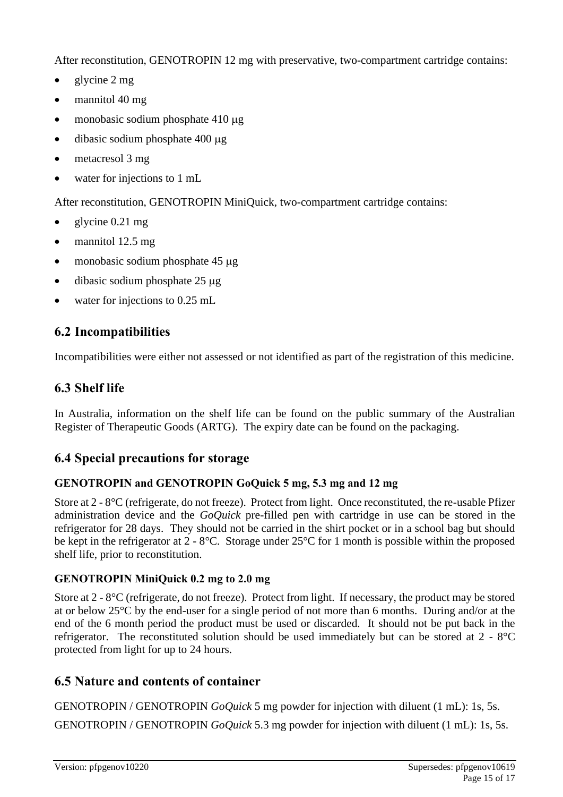After reconstitution, GENOTROPIN 12 mg with preservative, two-compartment cartridge contains:

- glycine 2 mg
- mannitol 40 mg
- monobasic sodium phosphate  $410 \mu$ g
- $\bullet$  dibasic sodium phosphate 400  $\mu$ g
- metacresol 3 mg
- water for injections to 1 mL

After reconstitution, GENOTROPIN MiniQuick, two-compartment cartridge contains:

- glycine 0.21 mg
- mannitol 12.5 mg
- monobasic sodium phosphate  $45 \mu$ g
- $\bullet$  dibasic sodium phosphate 25  $\mu$ g
- water for injections to 0.25 mL

# **6.2 Incompatibilities**

Incompatibilities were either not assessed or not identified as part of the registration of this medicine.

# **6.3 Shelf life**

In Australia, information on the shelf life can be found on the public summary of the Australian Register of Therapeutic Goods (ARTG). The expiry date can be found on the packaging.

# **6.4 Special precautions for storage**

### **GENOTROPIN and GENOTROPIN GoQuick 5 mg, 5.3 mg and 12 mg**

Store at 2 - 8°C (refrigerate, do not freeze). Protect from light. Once reconstituted, the re-usable Pfizer administration device and the *GoQuick* pre-filled pen with cartridge in use can be stored in the refrigerator for 28 days. They should not be carried in the shirt pocket or in a school bag but should be kept in the refrigerator at 2 - 8°C. Storage under 25°C for 1 month is possible within the proposed shelf life, prior to reconstitution.

### **GENOTROPIN MiniQuick 0.2 mg to 2.0 mg**

Store at 2 - 8°C (refrigerate, do not freeze). Protect from light. If necessary, the product may be stored at or below 25°C by the end-user for a single period of not more than 6 months. During and/or at the end of the 6 month period the product must be used or discarded. It should not be put back in the refrigerator. The reconstituted solution should be used immediately but can be stored at 2 - 8°C protected from light for up to 24 hours.

# **6.5 Nature and contents of container**

GENOTROPIN / GENOTROPIN *GoQuick* 5 mg powder for injection with diluent (1 mL): 1s, 5s. GENOTROPIN / GENOTROPIN *GoQuick* 5.3 mg powder for injection with diluent (1 mL): 1s, 5s.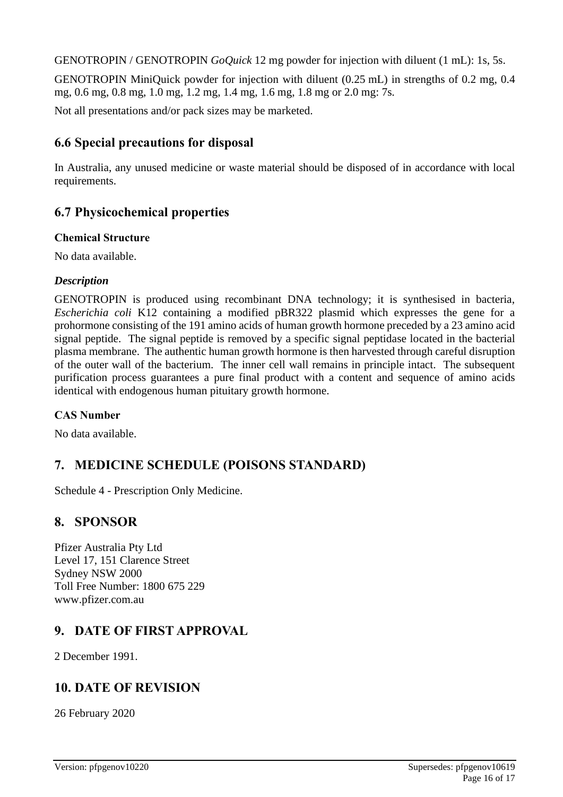GENOTROPIN / GENOTROPIN *GoQuick* 12 mg powder for injection with diluent (1 mL): 1s, 5s.

GENOTROPIN MiniQuick powder for injection with diluent (0.25 mL) in strengths of 0.2 mg, 0.4 mg, 0.6 mg, 0.8 mg, 1.0 mg, 1.2 mg, 1.4 mg, 1.6 mg, 1.8 mg or 2.0 mg: 7s.

Not all presentations and/or pack sizes may be marketed.

## **6.6 Special precautions for disposal**

In Australia, any unused medicine or waste material should be disposed of in accordance with local requirements.

# **6.7 Physicochemical properties**

### **Chemical Structure**

No data available.

### *Description*

GENOTROPIN is produced using recombinant DNA technology; it is synthesised in bacteria, *Escherichia coli* K12 containing a modified pBR322 plasmid which expresses the gene for a prohormone consisting of the 191 amino acids of human growth hormone preceded by a 23 amino acid signal peptide. The signal peptide is removed by a specific signal peptidase located in the bacterial plasma membrane. The authentic human growth hormone is then harvested through careful disruption of the outer wall of the bacterium. The inner cell wall remains in principle intact. The subsequent purification process guarantees a pure final product with a content and sequence of amino acids identical with endogenous human pituitary growth hormone.

### **CAS Number**

No data available.

# **7. MEDICINE SCHEDULE (POISONS STANDARD)**

Schedule 4 - Prescription Only Medicine.

# **8. SPONSOR**

Pfizer Australia Pty Ltd Level 17, 151 Clarence Street Sydney NSW 2000 Toll Free Number: 1800 675 229 www.pfizer.com.au

# **9. DATE OF FIRST APPROVAL**

2 December 1991.

# **10. DATE OF REVISION**

26 February 2020